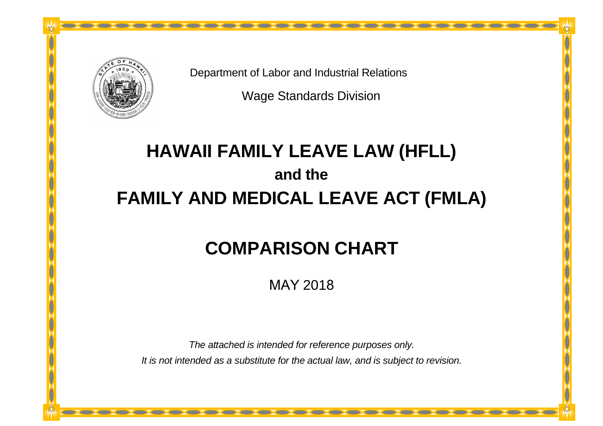

Department of Labor and Industrial Relations

Wage Standards Division

# **HAWAII FAMILY LEAVE LAW (HFLL) and the FAMILY AND MEDICAL LEAVE ACT (FMLA)**

## **COMPARISON CHART**

MAY 2018

*The attached is intended for reference purposes only. It is not intended as a substitute for the actual law, and is subject to revision.*

<u> Albanya di Kabupatén Bandar Pada Bandar Bandar Bandar Bandar Bandar Bandar Bandar Bandar Bandar Bandar Bandar Bandar Bandar Bandar Bandar Bandar Bandar Bandar Bandar Bandar Bandar Bandar Bandar Bandar Bandar Bandar Banda</u>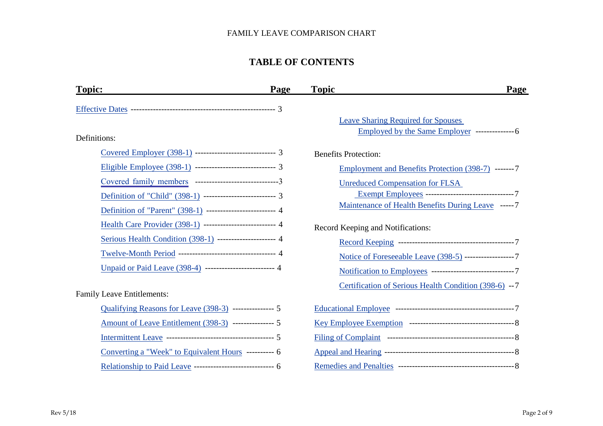## **TABLE OF CONTENTS**

| <b>Topic:</b>                                                 | <b>Page</b> | <b>Topic</b>                                            | Page |
|---------------------------------------------------------------|-------------|---------------------------------------------------------|------|
|                                                               |             |                                                         |      |
|                                                               |             | <b>Leave Sharing Required for Spouses</b>               |      |
| Definitions:                                                  |             | Employed by the Same Employer ---------------6          |      |
| Covered Employer (398-1) ---------------------------- 3       |             | <b>Benefits Protection:</b>                             |      |
| Eligible Employee (398-1) ----------------------------- 3     |             | Employment and Benefits Protection (398-7) ------- 7    |      |
| Covered family members --------------------------------3      |             | <b>Unreduced Compensation for FLSA</b>                  |      |
| Definition of "Child" (398-1) ------------------------- 3     |             | Exempt Employees ---------------------------------7     |      |
| Definition of "Parent" (398-1) ------------------------ 4     |             | Maintenance of Health Benefits During Leave ----- 7     |      |
| Health Care Provider (398-1) ------------------------- 4      |             | Record Keeping and Notifications:                       |      |
| Serious Health Condition (398-1) --------------------- 4      |             |                                                         |      |
| Twelve-Month Period --------------------------------- 4       |             | Notice of Foreseeable Leave (398-5) ------------------7 |      |
| Unpaid or Paid Leave (398-4) ------------------------ 4       |             |                                                         |      |
|                                                               |             | Certification of Serious Health Condition (398-6) --7   |      |
| <b>Family Leave Entitlements:</b>                             |             |                                                         |      |
| Qualifying Reasons for Leave (398-3) --------------- 5        |             |                                                         |      |
| <u>Amount of Leave Entitlement (398-3)</u> ---------------- 5 |             |                                                         |      |
|                                                               |             |                                                         |      |
| Converting a "Week" to Equivalent Hours ---------- 6          |             |                                                         |      |
| Relationship to Paid Leave ----------------------------- 6    |             |                                                         |      |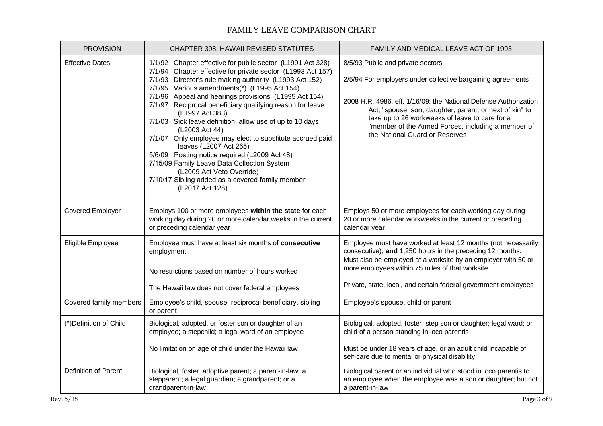<span id="page-2-0"></span>

| <b>PROVISION</b>        | CHAPTER 398, HAWAII REVISED STATUTES                                                                                                                                                                                                                                                                                                                                                                                                                                                                                                                                                                                                                                                                                                                   | FAMILY AND MEDICAL LEAVE ACT OF 1993                                                                                                                                                                                                                                                                                                                                      |
|-------------------------|--------------------------------------------------------------------------------------------------------------------------------------------------------------------------------------------------------------------------------------------------------------------------------------------------------------------------------------------------------------------------------------------------------------------------------------------------------------------------------------------------------------------------------------------------------------------------------------------------------------------------------------------------------------------------------------------------------------------------------------------------------|---------------------------------------------------------------------------------------------------------------------------------------------------------------------------------------------------------------------------------------------------------------------------------------------------------------------------------------------------------------------------|
| <b>Effective Dates</b>  | 1/1/92 Chapter effective for public sector (L1991 Act 328)<br>7/1/94 Chapter effective for private sector (L1993 Act 157)<br>7/1/93 Director's rule making authority (L1993 Act 152)<br>7/1/95 Various amendments(*) (L1995 Act 154)<br>7/1/96 Appeal and hearings provisions (L1995 Act 154)<br>7/1/97 Reciprocal beneficiary qualifying reason for leave<br>(L1997 Act 383)<br>7/1/03 Sick leave definition, allow use of up to 10 days<br>(L2003 Act 44)<br>7/1/07 Only employee may elect to substitute accrued paid<br>leaves (L2007 Act 265)<br>5/6/09 Posting notice required (L2009 Act 48)<br>7/15/09 Family Leave Data Collection System<br>(L2009 Act Veto Override)<br>7/10/17 Sibling added as a covered family member<br>(L2017 Act 128) | 8/5/93 Public and private sectors<br>2/5/94 For employers under collective bargaining agreements<br>2008 H.R. 4986, eff. 1/16/09: the National Defense Authorization<br>Act; "spouse, son, daughter, parent, or next of kin" to<br>take up to 26 workweeks of leave to care for a<br>"member of the Armed Forces, including a member of<br>the National Guard or Reserves |
| <b>Covered Employer</b> | Employs 100 or more employees within the state for each<br>working day during 20 or more calendar weeks in the current<br>or preceding calendar year                                                                                                                                                                                                                                                                                                                                                                                                                                                                                                                                                                                                   | Employs 50 or more employees for each working day during<br>20 or more calendar workweeks in the current or preceding<br>calendar year                                                                                                                                                                                                                                    |
| Eligible Employee       | Employee must have at least six months of consecutive<br>employment<br>No restrictions based on number of hours worked<br>The Hawaii law does not cover federal employees                                                                                                                                                                                                                                                                                                                                                                                                                                                                                                                                                                              | Employee must have worked at least 12 months (not necessarily<br>consecutive), and 1,250 hours in the preceding 12 months.<br>Must also be employed at a worksite by an employer with 50 or<br>more employees within 75 miles of that worksite.<br>Private, state, local, and certain federal government employees                                                        |
| Covered family members  | Employee's child, spouse, reciprocal beneficiary, sibling<br>or parent                                                                                                                                                                                                                                                                                                                                                                                                                                                                                                                                                                                                                                                                                 | Employee's spouse, child or parent                                                                                                                                                                                                                                                                                                                                        |
| (*) Definition of Child | Biological, adopted, or foster son or daughter of an<br>employee; a stepchild; a legal ward of an employee<br>No limitation on age of child under the Hawaii law                                                                                                                                                                                                                                                                                                                                                                                                                                                                                                                                                                                       | Biological, adopted, foster, step son or daughter; legal ward; or<br>child of a person standing in loco parentis<br>Must be under 18 years of age, or an adult child incapable of<br>self-care due to mental or physical disability                                                                                                                                       |
| Definition of Parent    | Biological, foster, adoptive parent; a parent-in-law; a<br>stepparent; a legal guardian; a grandparent; or a<br>grandparent-in-law                                                                                                                                                                                                                                                                                                                                                                                                                                                                                                                                                                                                                     | Biological parent or an individual who stood in loco parentis to<br>an employee when the employee was a son or daughter; but not<br>a parent-in-law                                                                                                                                                                                                                       |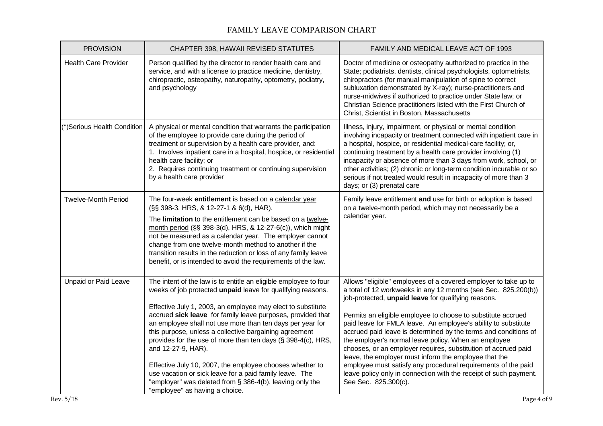| <b>PROVISION</b>            | CHAPTER 398, HAWAII REVISED STATUTES                                                                                                                                                                                                                                                                                                                                                                                                                                                                                                                                                                                                                                                            | FAMILY AND MEDICAL LEAVE ACT OF 1993                                                                                                                                                                                                                                                                                                                                                                                                                                                                                                                                                                                                                                                                                                           |
|-----------------------------|-------------------------------------------------------------------------------------------------------------------------------------------------------------------------------------------------------------------------------------------------------------------------------------------------------------------------------------------------------------------------------------------------------------------------------------------------------------------------------------------------------------------------------------------------------------------------------------------------------------------------------------------------------------------------------------------------|------------------------------------------------------------------------------------------------------------------------------------------------------------------------------------------------------------------------------------------------------------------------------------------------------------------------------------------------------------------------------------------------------------------------------------------------------------------------------------------------------------------------------------------------------------------------------------------------------------------------------------------------------------------------------------------------------------------------------------------------|
| <b>Health Care Provider</b> | Person qualified by the director to render health care and<br>service, and with a license to practice medicine, dentistry,<br>chiropractic, osteopathy, naturopathy, optometry, podiatry,<br>and psychology                                                                                                                                                                                                                                                                                                                                                                                                                                                                                     | Doctor of medicine or osteopathy authorized to practice in the<br>State; podiatrists, dentists, clinical psychologists, optometrists,<br>chiropractors (for manual manipulation of spine to correct<br>subluxation demonstrated by X-ray); nurse-practitioners and<br>nurse-midwives if authorized to practice under State law; or<br>Christian Science practitioners listed with the First Church of<br>Christ, Scientist in Boston, Massachusetts                                                                                                                                                                                                                                                                                            |
| (*)Serious Health Condition | A physical or mental condition that warrants the participation<br>of the employee to provide care during the period of<br>treatment or supervision by a health care provider, and:<br>1. Involves inpatient care in a hospital, hospice, or residential<br>health care facility; or<br>2. Requires continuing treatment or continuing supervision<br>by a health care provider                                                                                                                                                                                                                                                                                                                  | Illness, injury, impairment, or physical or mental condition<br>involving incapacity or treatment connected with inpatient care in<br>a hospital, hospice, or residential medical-care facility; or,<br>continuing treatment by a health care provider involving (1)<br>incapacity or absence of more than 3 days from work, school, or<br>other activities; (2) chronic or long-term condition incurable or so<br>serious if not treated would result in incapacity of more than 3<br>days; or (3) prenatal care                                                                                                                                                                                                                              |
| <b>Twelve-Month Period</b>  | The four-week entitlement is based on a calendar year<br>(§§ 398-3, HRS, & 12-27-1 & 6(d), HAR).<br>The limitation to the entitlement can be based on a twelve-<br>month period (§§ 398-3(d), HRS, & 12-27-6(c)), which might<br>not be measured as a calendar year. The employer cannot<br>change from one twelve-month method to another if the<br>transition results in the reduction or loss of any family leave<br>benefit, or is intended to avoid the requirements of the law.                                                                                                                                                                                                           | Family leave entitlement and use for birth or adoption is based<br>on a twelve-month period, which may not necessarily be a<br>calendar year.                                                                                                                                                                                                                                                                                                                                                                                                                                                                                                                                                                                                  |
| Unpaid or Paid Leave        | The intent of the law is to entitle an eligible employee to four<br>weeks of job protected unpaid leave for qualifying reasons.<br>Effective July 1, 2003, an employee may elect to substitute<br>accrued sick leave for family leave purposes, provided that<br>an employee shall not use more than ten days per year for<br>this purpose, unless a collective bargaining agreement<br>provides for the use of more than ten days (§ 398-4(c), HRS,<br>and 12-27-9, HAR).<br>Effective July 10, 2007, the employee chooses whether to<br>use vacation or sick leave for a paid family leave. The<br>"employer" was deleted from § 386-4(b), leaving only the<br>"employee" as having a choice. | Allows "eligible" employees of a covered employer to take up to<br>a total of 12 workweeks in any 12 months (see Sec. 825.200(b))<br>job-protected, unpaid leave for qualifying reasons.<br>Permits an eligible employee to choose to substitute accrued<br>paid leave for FMLA leave. An employee's ability to substitute<br>accrued paid leave is determined by the terms and conditions of<br>the employer's normal leave policy. When an employee<br>chooses, or an employer requires, substitution of accrued paid<br>leave, the employer must inform the employee that the<br>employee must satisfy any procedural requirements of the paid<br>leave policy only in connection with the receipt of such payment.<br>See Sec. 825.300(c). |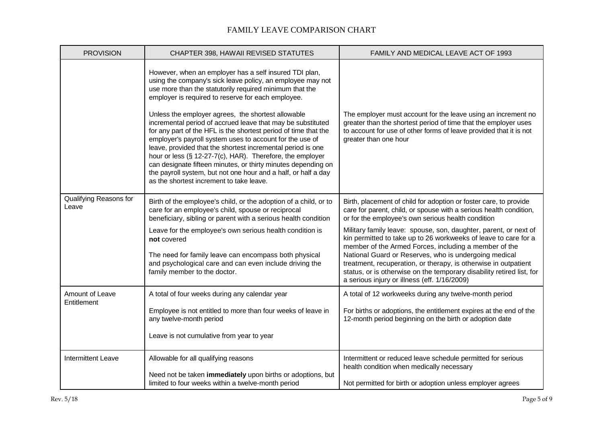| <b>PROVISION</b>                | CHAPTER 398, HAWAII REVISED STATUTES                                                                                                                                                                                                                                                                                                                                                                                                                                                                                                                                                                                                                                                                                                                                                                 | FAMILY AND MEDICAL LEAVE ACT OF 1993                                                                                                                                                                                                                                                                                                                                                                                                                                                                                                                                                                                                               |
|---------------------------------|------------------------------------------------------------------------------------------------------------------------------------------------------------------------------------------------------------------------------------------------------------------------------------------------------------------------------------------------------------------------------------------------------------------------------------------------------------------------------------------------------------------------------------------------------------------------------------------------------------------------------------------------------------------------------------------------------------------------------------------------------------------------------------------------------|----------------------------------------------------------------------------------------------------------------------------------------------------------------------------------------------------------------------------------------------------------------------------------------------------------------------------------------------------------------------------------------------------------------------------------------------------------------------------------------------------------------------------------------------------------------------------------------------------------------------------------------------------|
|                                 | However, when an employer has a self insured TDI plan,<br>using the company's sick leave policy, an employee may not<br>use more than the statutorily required minimum that the<br>employer is required to reserve for each employee.<br>Unless the employer agrees, the shortest allowable<br>incremental period of accrued leave that may be substituted<br>for any part of the HFL is the shortest period of time that the<br>employer's payroll system uses to account for the use of<br>leave, provided that the shortest incremental period is one<br>hour or less (§ 12-27-7(c), HAR). Therefore, the employer<br>can designate fifteen minutes, or thirty minutes depending on<br>the payroll system, but not one hour and a half, or half a day<br>as the shortest increment to take leave. | The employer must account for the leave using an increment no<br>greater than the shortest period of time that the employer uses<br>to account for use of other forms of leave provided that it is not<br>greater than one hour                                                                                                                                                                                                                                                                                                                                                                                                                    |
| Qualifying Reasons for<br>Leave | Birth of the employee's child, or the adoption of a child, or to<br>care for an employee's child, spouse or reciprocal<br>beneficiary, sibling or parent with a serious health condition<br>Leave for the employee's own serious health condition is<br>not covered<br>The need for family leave can encompass both physical<br>and psychological care and can even include driving the<br>family member to the doctor.                                                                                                                                                                                                                                                                                                                                                                              | Birth, placement of child for adoption or foster care, to provide<br>care for parent, child, or spouse with a serious health condition,<br>or for the employee's own serious health condition<br>Military family leave: spouse, son, daughter, parent, or next of<br>kin permitted to take up to 26 workweeks of leave to care for a<br>member of the Armed Forces, including a member of the<br>National Guard or Reserves, who is undergoing medical<br>treatment, recuperation, or therapy, is otherwise in outpatient<br>status, or is otherwise on the temporary disability retired list, for<br>a serious injury or illness (eff. 1/16/2009) |
| Amount of Leave<br>Entitlement  | A total of four weeks during any calendar year<br>Employee is not entitled to more than four weeks of leave in<br>any twelve-month period<br>Leave is not cumulative from year to year                                                                                                                                                                                                                                                                                                                                                                                                                                                                                                                                                                                                               | A total of 12 workweeks during any twelve-month period<br>For births or adoptions, the entitlement expires at the end of the<br>12-month period beginning on the birth or adoption date                                                                                                                                                                                                                                                                                                                                                                                                                                                            |
| <b>Intermittent Leave</b>       | Allowable for all qualifying reasons<br>Need not be taken immediately upon births or adoptions, but<br>limited to four weeks within a twelve-month period                                                                                                                                                                                                                                                                                                                                                                                                                                                                                                                                                                                                                                            | Intermittent or reduced leave schedule permitted for serious<br>health condition when medically necessary<br>Not permitted for birth or adoption unless employer agrees                                                                                                                                                                                                                                                                                                                                                                                                                                                                            |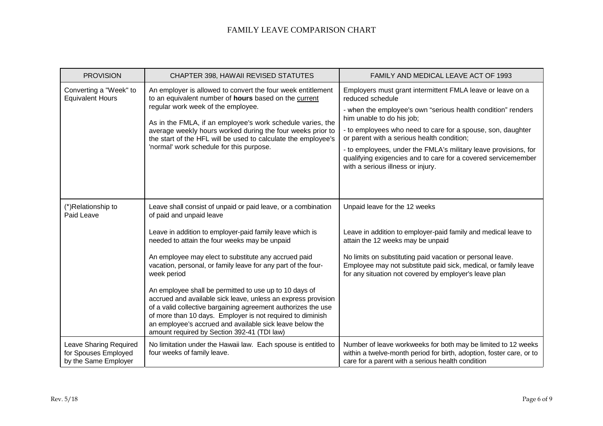| <b>PROVISION</b>                                                       | CHAPTER 398, HAWAII REVISED STATUTES                                                                                                                                                                                                                                                                                                                                                                | FAMILY AND MEDICAL LEAVE ACT OF 1993                                                                                                                                                                                                                                                                                                                                                                                                                              |
|------------------------------------------------------------------------|-----------------------------------------------------------------------------------------------------------------------------------------------------------------------------------------------------------------------------------------------------------------------------------------------------------------------------------------------------------------------------------------------------|-------------------------------------------------------------------------------------------------------------------------------------------------------------------------------------------------------------------------------------------------------------------------------------------------------------------------------------------------------------------------------------------------------------------------------------------------------------------|
| Converting a "Week" to<br><b>Equivalent Hours</b>                      | An employer is allowed to convert the four week entitlement<br>to an equivalent number of hours based on the current<br>regular work week of the employee.<br>As in the FMLA, if an employee's work schedule varies, the<br>average weekly hours worked during the four weeks prior to<br>the start of the HFL will be used to calculate the employee's<br>'normal' work schedule for this purpose. | Employers must grant intermittent FMLA leave or leave on a<br>reduced schedule<br>- when the employee's own "serious health condition" renders<br>him unable to do his job;<br>- to employees who need to care for a spouse, son, daughter<br>or parent with a serious health condition;<br>- to employees, under the FMLA's military leave provisions, for<br>qualifying exigencies and to care for a covered servicemember<br>with a serious illness or injury. |
| (*)Relationship to<br>Paid Leave                                       | Leave shall consist of unpaid or paid leave, or a combination<br>of paid and unpaid leave                                                                                                                                                                                                                                                                                                           | Unpaid leave for the 12 weeks                                                                                                                                                                                                                                                                                                                                                                                                                                     |
|                                                                        | Leave in addition to employer-paid family leave which is<br>needed to attain the four weeks may be unpaid                                                                                                                                                                                                                                                                                           | Leave in addition to employer-paid family and medical leave to<br>attain the 12 weeks may be unpaid                                                                                                                                                                                                                                                                                                                                                               |
|                                                                        | An employee may elect to substitute any accrued paid<br>vacation, personal, or family leave for any part of the four-<br>week period                                                                                                                                                                                                                                                                | No limits on substituting paid vacation or personal leave.<br>Employee may not substitute paid sick, medical, or family leave<br>for any situation not covered by employer's leave plan                                                                                                                                                                                                                                                                           |
|                                                                        | An employee shall be permitted to use up to 10 days of<br>accrued and available sick leave, unless an express provision<br>of a valid collective bargaining agreement authorizes the use<br>of more than 10 days. Employer is not required to diminish<br>an employee's accrued and available sick leave below the<br>amount required by Section 392-41 (TDI law)                                   |                                                                                                                                                                                                                                                                                                                                                                                                                                                                   |
| Leave Sharing Required<br>for Spouses Employed<br>by the Same Employer | No limitation under the Hawaii law. Each spouse is entitled to<br>four weeks of family leave.                                                                                                                                                                                                                                                                                                       | Number of leave workweeks for both may be limited to 12 weeks<br>within a twelve-month period for birth, adoption, foster care, or to<br>care for a parent with a serious health condition                                                                                                                                                                                                                                                                        |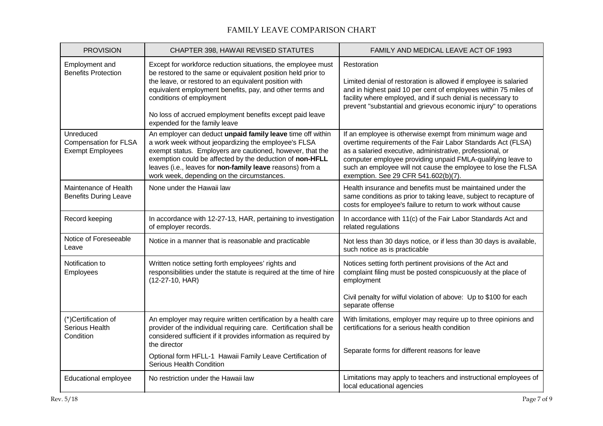| <b>PROVISION</b>                                                     | CHAPTER 398, HAWAII REVISED STATUTES                                                                                                                                                                                                                                                                                                                                       | FAMILY AND MEDICAL LEAVE ACT OF 1993                                                                                                                                                                                                                                                                                                                          |
|----------------------------------------------------------------------|----------------------------------------------------------------------------------------------------------------------------------------------------------------------------------------------------------------------------------------------------------------------------------------------------------------------------------------------------------------------------|---------------------------------------------------------------------------------------------------------------------------------------------------------------------------------------------------------------------------------------------------------------------------------------------------------------------------------------------------------------|
| Employment and<br><b>Benefits Protection</b>                         | Except for workforce reduction situations, the employee must<br>be restored to the same or equivalent position held prior to<br>the leave, or restored to an equivalent position with<br>equivalent employment benefits, pay, and other terms and<br>conditions of employment<br>No loss of accrued employment benefits except paid leave<br>expended for the family leave | Restoration<br>Limited denial of restoration is allowed if employee is salaried<br>and in highest paid 10 per cent of employees within 75 miles of<br>facility where employed, and if such denial is necessary to<br>prevent "substantial and grievous economic injury" to operations                                                                         |
| Unreduced<br><b>Compensation for FLSA</b><br><b>Exempt Employees</b> | An employer can deduct unpaid family leave time off within<br>a work week without jeopardizing the employee's FLSA<br>exempt status. Employers are cautioned, however, that the<br>exemption could be affected by the deduction of non-HFLL<br>leaves (i.e., leaves for non-family leave reasons) from a<br>work week, depending on the circumstances.                     | If an employee is otherwise exempt from minimum wage and<br>overtime requirements of the Fair Labor Standards Act (FLSA)<br>as a salaried executive, administrative, professional, or<br>computer employee providing unpaid FMLA-qualifying leave to<br>such an employee will not cause the employee to lose the FLSA<br>exemption. See 29 CFR 541.602(b)(7). |
| Maintenance of Health<br><b>Benefits During Leave</b>                | None under the Hawaii law                                                                                                                                                                                                                                                                                                                                                  | Health insurance and benefits must be maintained under the<br>same conditions as prior to taking leave, subject to recapture of<br>costs for employee's failure to return to work without cause                                                                                                                                                               |
| Record keeping                                                       | In accordance with 12-27-13, HAR, pertaining to investigation<br>of employer records.                                                                                                                                                                                                                                                                                      | In accordance with 11(c) of the Fair Labor Standards Act and<br>related regulations                                                                                                                                                                                                                                                                           |
| Notice of Foreseeable<br>Leave                                       | Notice in a manner that is reasonable and practicable                                                                                                                                                                                                                                                                                                                      | Not less than 30 days notice, or if less than 30 days is available,<br>such notice as is practicable                                                                                                                                                                                                                                                          |
| Notification to<br>Employees                                         | Written notice setting forth employees' rights and<br>responsibilities under the statute is required at the time of hire<br>$(12-27-10, HAR)$                                                                                                                                                                                                                              | Notices setting forth pertinent provisions of the Act and<br>complaint filing must be posted conspicuously at the place of<br>employment                                                                                                                                                                                                                      |
|                                                                      |                                                                                                                                                                                                                                                                                                                                                                            | Civil penalty for wilful violation of above: Up to \$100 for each<br>separate offense                                                                                                                                                                                                                                                                         |
| (*)Certification of<br>Serious Health<br>Condition                   | An employer may require written certification by a health care<br>provider of the individual requiring care. Certification shall be<br>considered sufficient if it provides information as required by<br>the director                                                                                                                                                     | With limitations, employer may require up to three opinions and<br>certifications for a serious health condition                                                                                                                                                                                                                                              |
|                                                                      | Optional form HFLL-1 Hawaii Family Leave Certification of<br>Serious Health Condition                                                                                                                                                                                                                                                                                      | Separate forms for different reasons for leave                                                                                                                                                                                                                                                                                                                |
| Educational employee                                                 | No restriction under the Hawaii law                                                                                                                                                                                                                                                                                                                                        | Limitations may apply to teachers and instructional employees of<br>local educational agencies                                                                                                                                                                                                                                                                |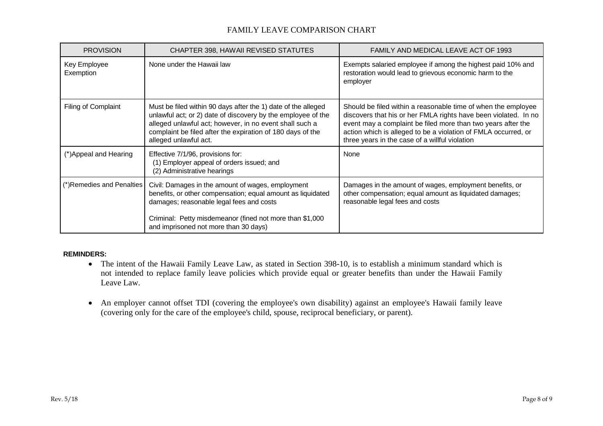| <b>PROVISION</b>          | CHAPTER 398, HAWAII REVISED STATUTES                                                                                                                                                                                                                                            | FAMILY AND MEDICAL LEAVE ACT OF 1993                                                                                                                                                                                                                                                                                 |
|---------------------------|---------------------------------------------------------------------------------------------------------------------------------------------------------------------------------------------------------------------------------------------------------------------------------|----------------------------------------------------------------------------------------------------------------------------------------------------------------------------------------------------------------------------------------------------------------------------------------------------------------------|
| Key Employee<br>Exemption | None under the Hawaii law                                                                                                                                                                                                                                                       | Exempts salaried employee if among the highest paid 10% and<br>restoration would lead to grievous economic harm to the<br>employer                                                                                                                                                                                   |
| Filing of Complaint       | Must be filed within 90 days after the 1) date of the alleged<br>unlawful act; or 2) date of discovery by the employee of the<br>alleged unlawful act; however, in no event shall such a<br>complaint be filed after the expiration of 180 days of the<br>alleged unlawful act. | Should be filed within a reasonable time of when the employee<br>discovers that his or her FMLA rights have been violated. In no<br>event may a complaint be filed more than two years after the<br>action which is alleged to be a violation of FMLA occurred, or<br>three years in the case of a willful violation |
| (*)Appeal and Hearing     | Effective 7/1/96, provisions for:<br>(1) Employer appeal of orders issued; and<br>(2) Administrative hearings                                                                                                                                                                   | None                                                                                                                                                                                                                                                                                                                 |
| (*)Remedies and Penalties | Civil: Damages in the amount of wages, employment<br>benefits, or other compensation; equal amount as liquidated<br>damages; reasonable legal fees and costs<br>Criminal: Petty misdemeanor (fined not more than \$1,000                                                        | Damages in the amount of wages, employment benefits, or<br>other compensation; equal amount as liquidated damages;<br>reasonable legal fees and costs                                                                                                                                                                |
|                           | and imprisoned not more than 30 days)                                                                                                                                                                                                                                           |                                                                                                                                                                                                                                                                                                                      |

#### **REMINDERS:**

- The intent of the Hawaii Family Leave Law, as stated in Section 398-10, is to establish a minimum standard which is not intended to replace family leave policies which provide equal or greater benefits than under the Hawaii Family Leave Law.
- An employer cannot offset TDI (covering the employee's own disability) against an employee's Hawaii family leave (covering only for the care of the employee's child, spouse, reciprocal beneficiary, or parent).